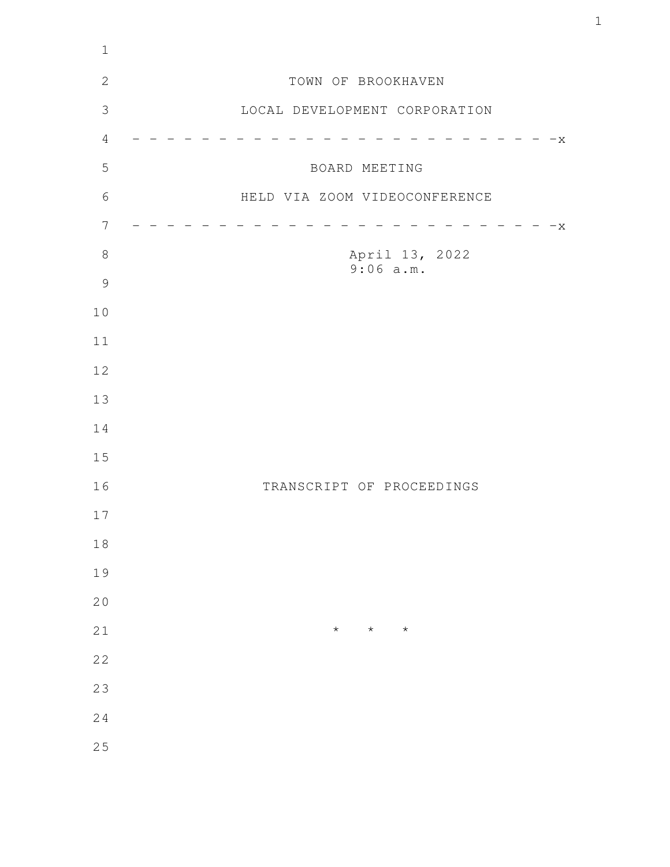| $\mathbf 1$      |                               |
|------------------|-------------------------------|
| $\mathbf{2}$     | TOWN OF BROOKHAVEN            |
| $\mathcal{S}$    | LOCAL DEVELOPMENT CORPORATION |
| $\sqrt{4}$       | $-x -$                        |
| 5                | BOARD MEETING                 |
| 6                | HELD VIA ZOOM VIDEOCONFERENCE |
| $\boldsymbol{7}$ | $-x$                          |
| $\,8\,$          | April 13, 2022<br>9:06 a.m.   |
| $\mathcal{G}$    |                               |
| 10               |                               |
| 11               |                               |
| 12               |                               |
| 13               |                               |
| 14               |                               |
| 15               |                               |
| 16               | TRANSCRIPT OF PROCEEDINGS     |
| 17               |                               |
| $1\,8$           |                               |
| 19               |                               |
| 20               |                               |
| 21               | $\star$<br>$\star$<br>$\star$ |
| 22               |                               |
| 23               |                               |
| 24               |                               |
| 25               |                               |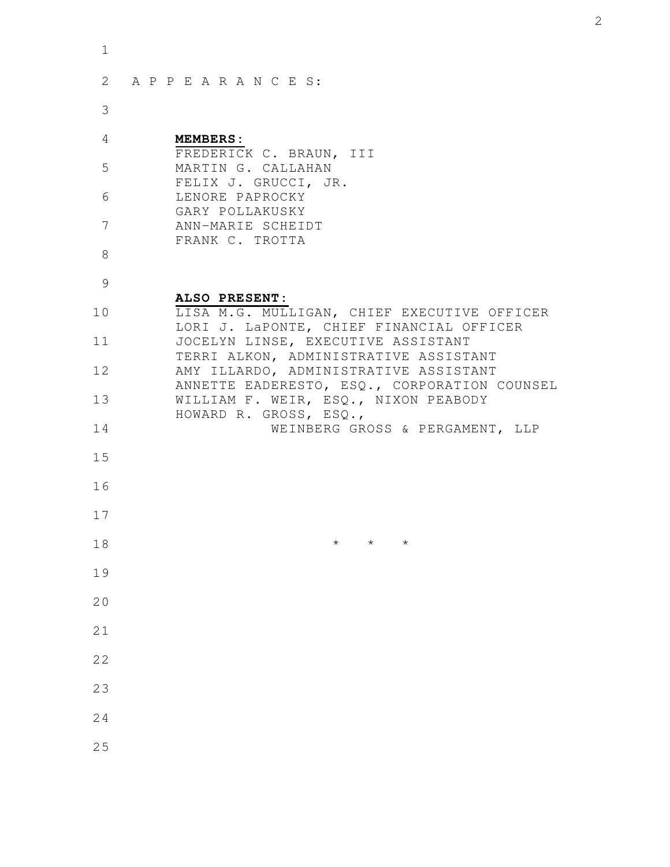| $\mathbf 1$ |                                                                                         |
|-------------|-----------------------------------------------------------------------------------------|
| 2           | A P P E A R A N C E S:                                                                  |
| 3           |                                                                                         |
| 4           | <b>MEMBERS:</b><br>FREDERICK C. BRAUN, III                                              |
| 5           | MARTIN G. CALLAHAN<br>FELIX J. GRUCCI, JR.                                              |
| 6           | LENORE PAPROCKY<br>GARY POLLAKUSKY                                                      |
| 7           | ANN-MARIE SCHEIDT<br>FRANK C. TROTTA                                                    |
| 8           |                                                                                         |
| 9           | ALSO PRESENT:                                                                           |
| 10          | LISA M.G. MULLIGAN, CHIEF EXECUTIVE OFFICER<br>LORI J. LaPONTE, CHIEF FINANCIAL OFFICER |
| 11          | JOCELYN LINSE, EXECUTIVE ASSISTANT<br>TERRI ALKON, ADMINISTRATIVE ASSISTANT             |
| 12          | AMY ILLARDO, ADMINISTRATIVE ASSISTANT<br>ANNETTE EADERESTO, ESQ., CORPORATION COUNSEL   |
| 13          | WILLIAM F. WEIR, ESQ., NIXON PEABODY<br>HOWARD R. GROSS, ESQ.,                          |
| 14          | WEINBERG GROSS & PERGAMENT, LLP                                                         |
| 15          |                                                                                         |
| 16          |                                                                                         |
| 17          |                                                                                         |
| 18          | $\star$<br>$\star$<br>$\star$                                                           |
| 19          |                                                                                         |
| 20          |                                                                                         |
| 21          |                                                                                         |
| 22          |                                                                                         |
| 23          |                                                                                         |
| 24          |                                                                                         |
| 25          |                                                                                         |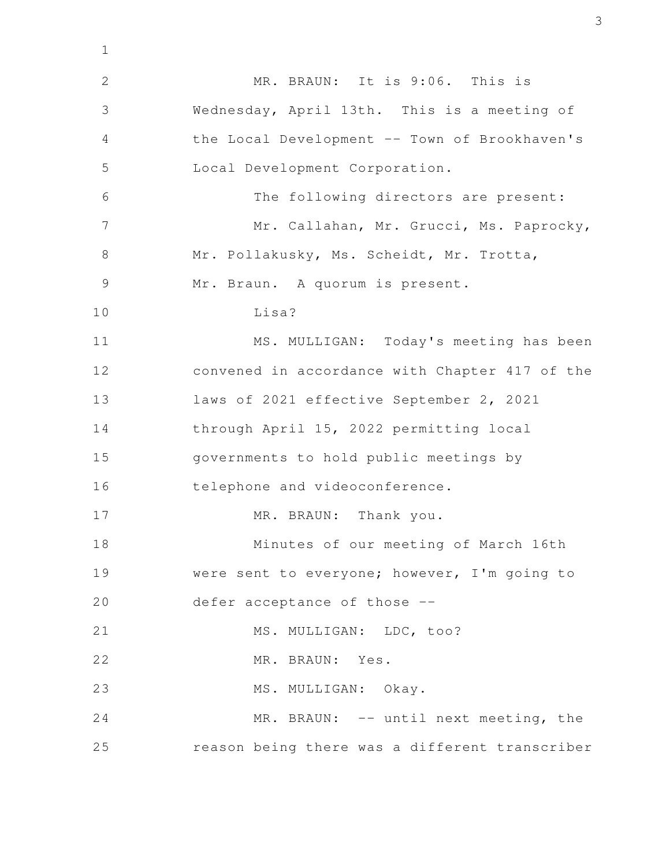MR. BRAUN: It is 9:06. This is Wednesday, April 13th. This is a meeting of the Local Development -- Town of Brookhaven's Local Development Corporation. The following directors are present: Mr. Callahan, Mr. Grucci, Ms. Paprocky, Mr. Pollakusky, Ms. Scheidt, Mr. Trotta, Mr. Braun. A quorum is present. Lisa? MS. MULLIGAN: Today's meeting has been convened in accordance with Chapter 417 of the laws of 2021 effective September 2, 2021 through April 15, 2022 permitting local governments to hold public meetings by telephone and videoconference. MR. BRAUN: Thank you. Minutes of our meeting of March 16th were sent to everyone; however, I'm going to defer acceptance of those -- MS. MULLIGAN: LDC, too? MR. BRAUN: Yes. MS. MULLIGAN: Okay. MR. BRAUN: -- until next meeting, the reason being there was a different transcriber 1 2 3 4 5 6 7 8 9 10 11 12 13 14 15 16 17 18 19 20 21 22 23 24 25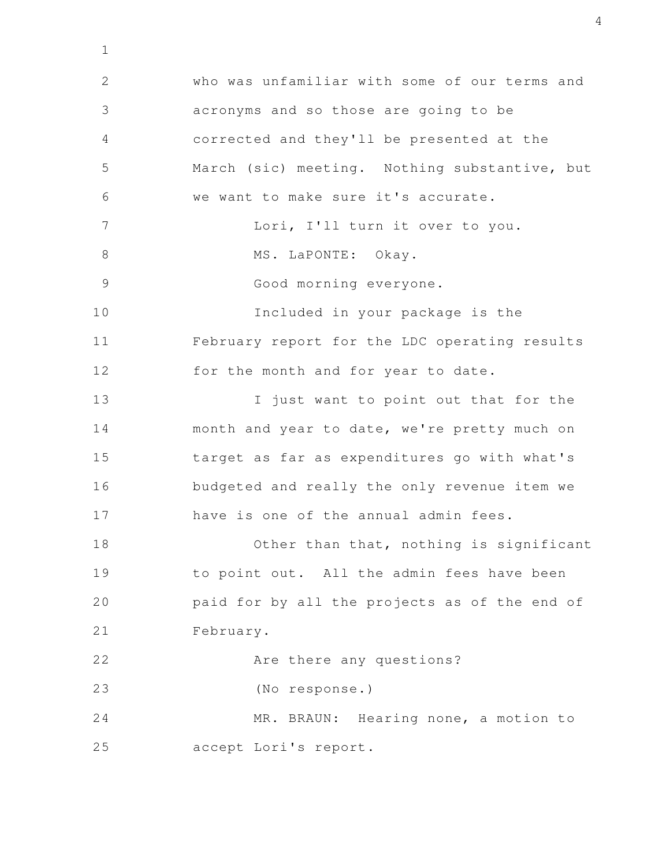who was unfamiliar with some of our terms and acronyms and so those are going to be corrected and they'll be presented at the March (sic) meeting. Nothing substantive, but we want to make sure it's accurate. Lori, I'll turn it over to you. MS. LaPONTE: Okay. Good morning everyone. Included in your package is the February report for the LDC operating results for the month and for year to date. I just want to point out that for the month and year to date, we're pretty much on target as far as expenditures go with what's budgeted and really the only revenue item we have is one of the annual admin fees. Other than that, nothing is significant to point out. All the admin fees have been paid for by all the projects as of the end of February. Are there any questions? (No response.) MR. BRAUN: Hearing none, a motion to accept Lori's report. 2 3 4 5 6 7 8 9 10 11 12 13 14 15 16 17 18 19 20 21 22 23 24 25

1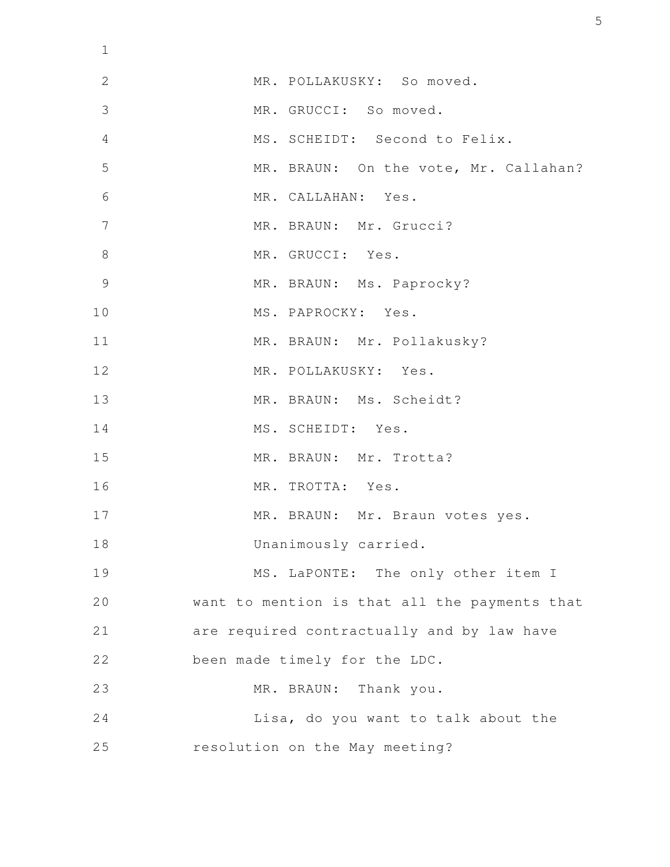| $\mathbf 1$    |                                               |
|----------------|-----------------------------------------------|
| $\mathbf{2}$   | MR. POLLAKUSKY: So moved.                     |
| 3              | MR. GRUCCI: So moved.                         |
| 4              | MS. SCHEIDT: Second to Felix.                 |
| 5              | MR. BRAUN: On the vote, Mr. Callahan?         |
| 6              | MR. CALLAHAN: Yes.                            |
| 7              | MR. BRAUN: Mr. Grucci?                        |
| 8              | MR. GRUCCI: Yes.                              |
| $\overline{9}$ | MR. BRAUN: Ms. Paprocky?                      |
| 10             | MS. PAPROCKY: Yes.                            |
| 11             | MR. BRAUN: Mr. Pollakusky?                    |
| 12             | MR. POLLAKUSKY: Yes.                          |
| 13             | MR. BRAUN: Ms. Scheidt?                       |
| 14             | MS. SCHEIDT: Yes.                             |
| 15             | MR. BRAUN: Mr. Trotta?                        |
| 16             | MR. TROTTA: Yes.                              |
| 17             | MR. BRAUN: Mr. Braun votes yes.               |
| 18             | Unanimously carried.                          |
| 19             | MS. LaPONTE: The only other item I            |
| 20             | want to mention is that all the payments that |
| 21             | are required contractually and by law have    |
| 22             | been made timely for the LDC.                 |
| 23             | MR. BRAUN: Thank you.                         |
| 24             | Lisa, do you want to talk about the           |
| 25             | resolution on the May meeting?                |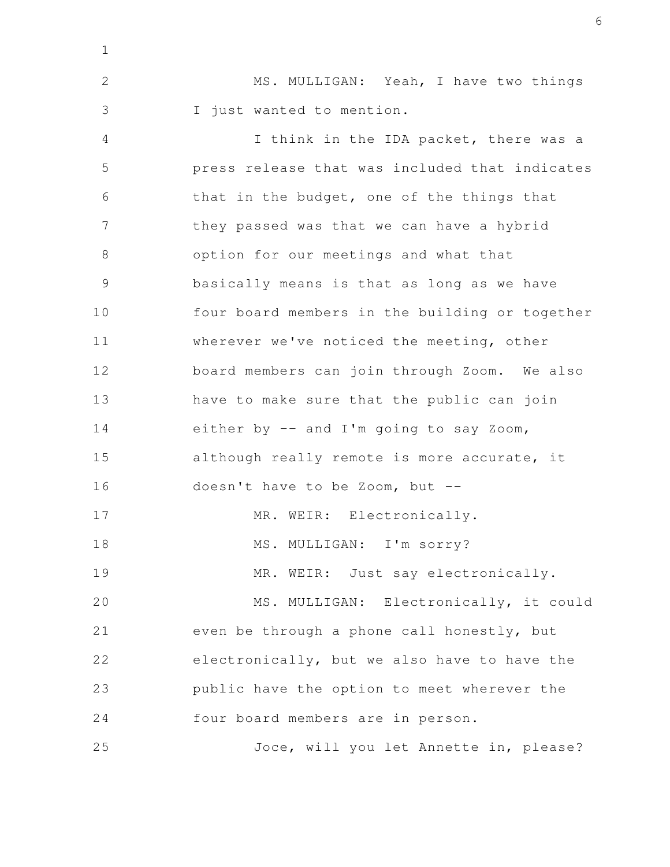MS. MULLIGAN: Yeah, I have two things I just wanted to mention. I think in the IDA packet, there was a press release that was included that indicates that in the budget, one of the things that they passed was that we can have a hybrid option for our meetings and what that basically means is that as long as we have four board members in the building or together wherever we've noticed the meeting, other board members can join through Zoom. We also have to make sure that the public can join either by -- and I'm going to say Zoom, although really remote is more accurate, it doesn't have to be Zoom, but -- MR. WEIR: Electronically. MS. MULLIGAN: I'm sorry? MR. WEIR: Just say electronically. MS. MULLIGAN: Electronically, it could even be through a phone call honestly, but electronically, but we also have to have the public have the option to meet wherever the four board members are in person. Joce, will you let Annette in, please? 1 2 3 4 5 6 7 8 9 10 11 12 13 14 15 16 17 18 19 20 21 22 23 24 25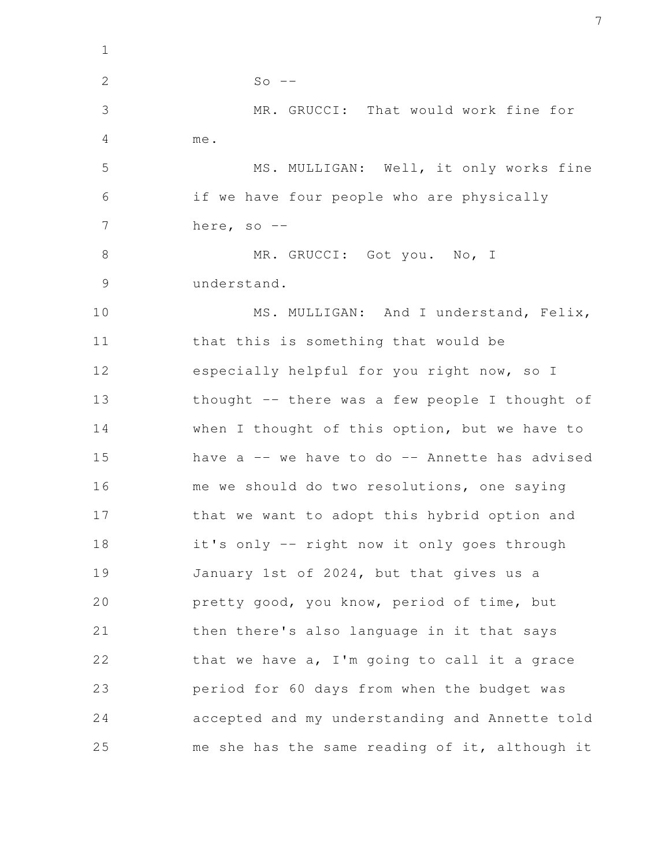$So$   $--$ MR. GRUCCI: That would work fine for me. MS. MULLIGAN: Well, it only works fine if we have four people who are physically here, so -- MR. GRUCCI: Got you. No, I understand. MS. MULLIGAN: And I understand, Felix, that this is something that would be especially helpful for you right now, so I thought -- there was a few people I thought of when I thought of this option, but we have to have  $a$  -- we have to do -- Annette has advised me we should do two resolutions, one saying that we want to adopt this hybrid option and it's only -- right now it only goes through January 1st of 2024, but that gives us a pretty good, you know, period of time, but then there's also language in it that says that we have a, I'm going to call it a grace period for 60 days from when the budget was accepted and my understanding and Annette told me she has the same reading of it, although it 2 3 4 5 6 7 8 9 10 11 12 13 14 15 16 17 18 19 20 21 22 23 24 25

1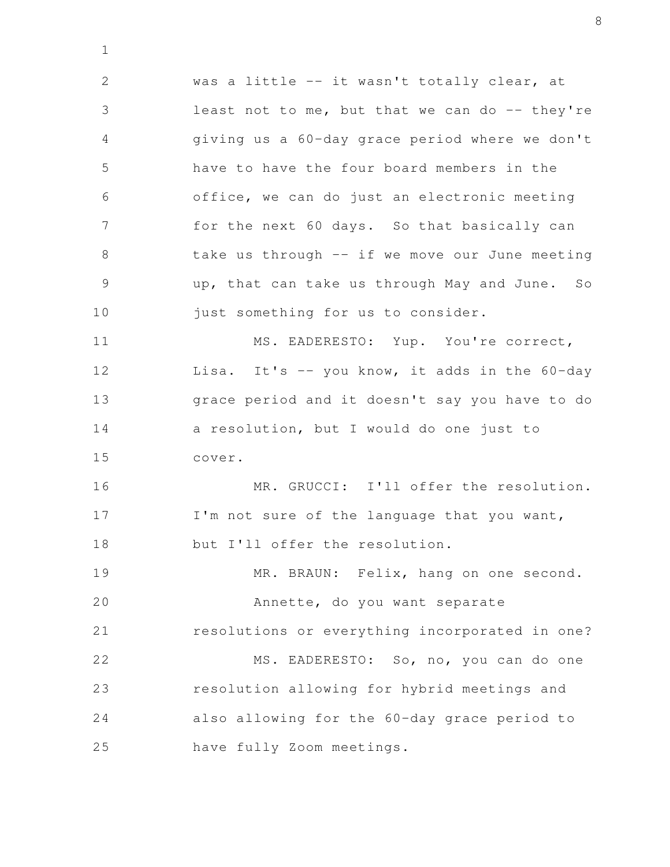was a little -- it wasn't totally clear, at least not to me, but that we can do  $-$ - they're giving us a 60-day grace period where we don't have to have the four board members in the office, we can do just an electronic meeting for the next 60 days. So that basically can take us through -- if we move our June meeting up, that can take us through May and June. So just something for us to consider. MS. EADERESTO: Yup. You're correct, Lisa. It's -- you know, it adds in the 60-day 2 3 4 5 6 7 8 9 10 11 12

1

grace period and it doesn't say you have to do a resolution, but I would do one just to cover. 13 14 15

MR. GRUCCI: I'll offer the resolution. I'm not sure of the language that you want, but I'll offer the resolution. 16 17 18

MR. BRAUN: Felix, hang on one second. Annette, do you want separate resolutions or everything incorporated in one? MS. EADERESTO: So, no, you can do one resolution allowing for hybrid meetings and also allowing for the 60-day grace period to have fully Zoom meetings. 19 20 21 22 23 24 25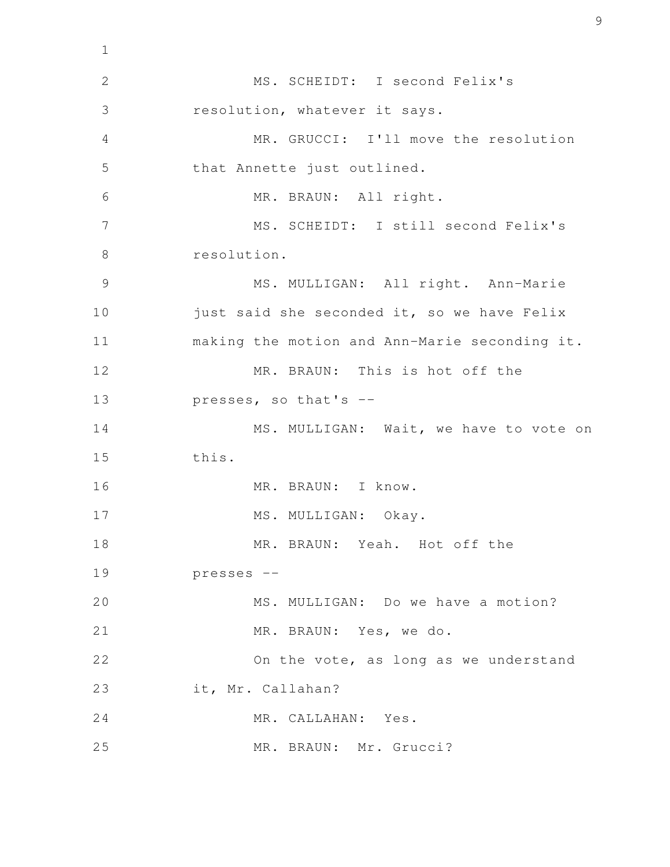MS. SCHEIDT: I second Felix's resolution, whatever it says. MR. GRUCCI: I'll move the resolution that Annette just outlined. MR. BRAUN: All right. MS. SCHEIDT: I still second Felix's resolution. MS. MULLIGAN: All right. Ann-Marie just said she seconded it, so we have Felix making the motion and Ann-Marie seconding it. MR. BRAUN: This is hot off the presses, so that's -- MS. MULLIGAN: Wait, we have to vote on this. MR. BRAUN: I know. MS. MULLIGAN: Okay. MR. BRAUN: Yeah. Hot off the presses -- MS. MULLIGAN: Do we have a motion? MR. BRAUN: Yes, we do. On the vote, as long as we understand it, Mr. Callahan? MR. CALLAHAN: Yes. MR. BRAUN: Mr. Grucci? 1 2 3 4 5 6 7 8 9 10 11 12 13 14 15 16 17 18 19 20 21 22 23 24 25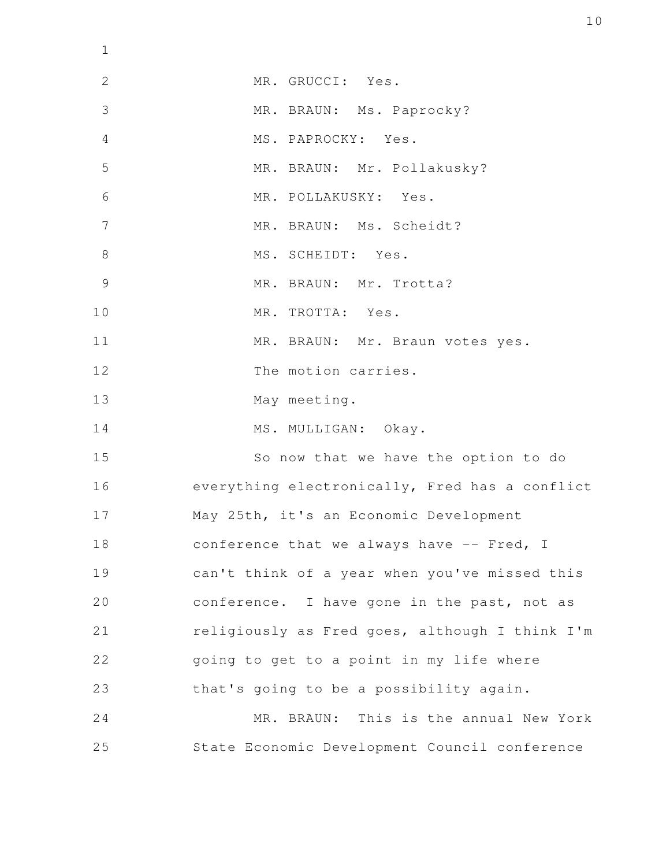| $\mathbf 1$    |                                                |
|----------------|------------------------------------------------|
| 2              | MR. GRUCCI: Yes.                               |
| 3              | MR. BRAUN: Ms. Paprocky?                       |
| $\overline{4}$ | MS. PAPROCKY: Yes.                             |
| 5              | MR. BRAUN: Mr. Pollakusky?                     |
| 6              | MR. POLLAKUSKY: Yes.                           |
| 7              | MR. BRAUN: Ms. Scheidt?                        |
| $8\,$          | MS. SCHEIDT: Yes.                              |
| 9              | MR. BRAUN: Mr. Trotta?                         |
| 10             | MR. TROTTA: Yes.                               |
| 11             | MR. BRAUN: Mr. Braun votes yes.                |
| 12             | The motion carries.                            |
| 13             | May meeting.                                   |
| 14             | MS. MULLIGAN: Okay.                            |
| 15             | So now that we have the option to do           |
| 16             | everything electronically, Fred has a conflict |
| 17             | May 25th, it's an Economic Development         |
| 18             | conference that we always have -- Fred, I      |
| 19             | can't think of a year when you've missed this  |
| 20             | conference. I have gone in the past, not as    |
| 21             | religiously as Fred goes, although I think I'm |
| 22             | going to get to a point in my life where       |
| 23             | that's going to be a possibility again.        |
| 24             | MR. BRAUN: This is the annual New York         |
| 25             | State Economic Development Council conference  |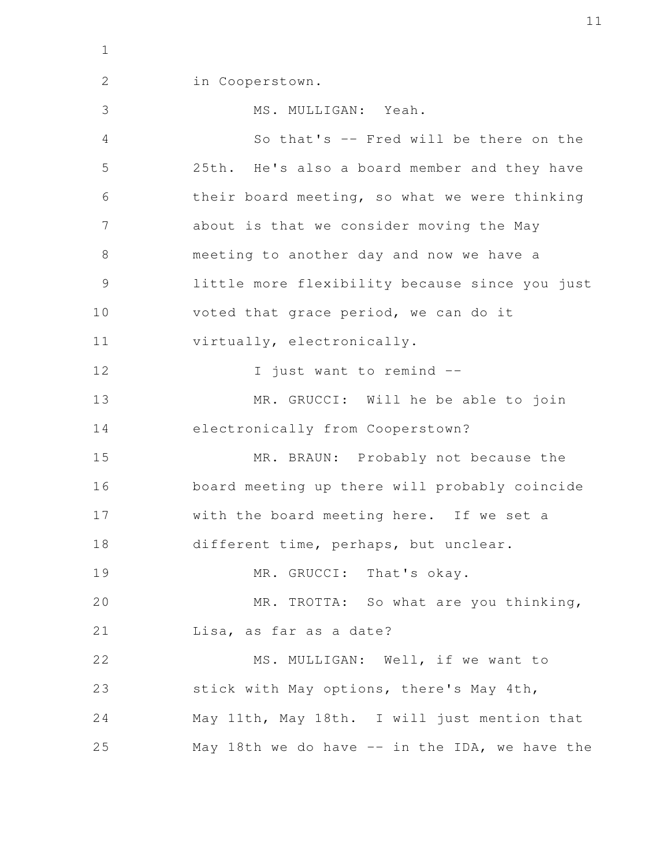in Cooperstown. MS. MULLIGAN: Yeah. So that's -- Fred will be there on the 25th. He's also a board member and they have their board meeting, so what we were thinking about is that we consider moving the May meeting to another day and now we have a little more flexibility because since you just voted that grace period, we can do it virtually, electronically. I just want to remind -- MR. GRUCCI: Will he be able to join electronically from Cooperstown? MR. BRAUN: Probably not because the board meeting up there will probably coincide with the board meeting here. If we set a different time, perhaps, but unclear. MR. GRUCCI: That's okay. MR. TROTTA: So what are you thinking, Lisa, as far as a date? MS. MULLIGAN: Well, if we want to stick with May options, there's May 4th, May 11th, May 18th. I will just mention that May 18th we do have  $--$  in the IDA, we have the 2 3 4 5 6 7 8 9 10 11 12 13 14 15 16 17 18 19 20 21 22 23 24 25

1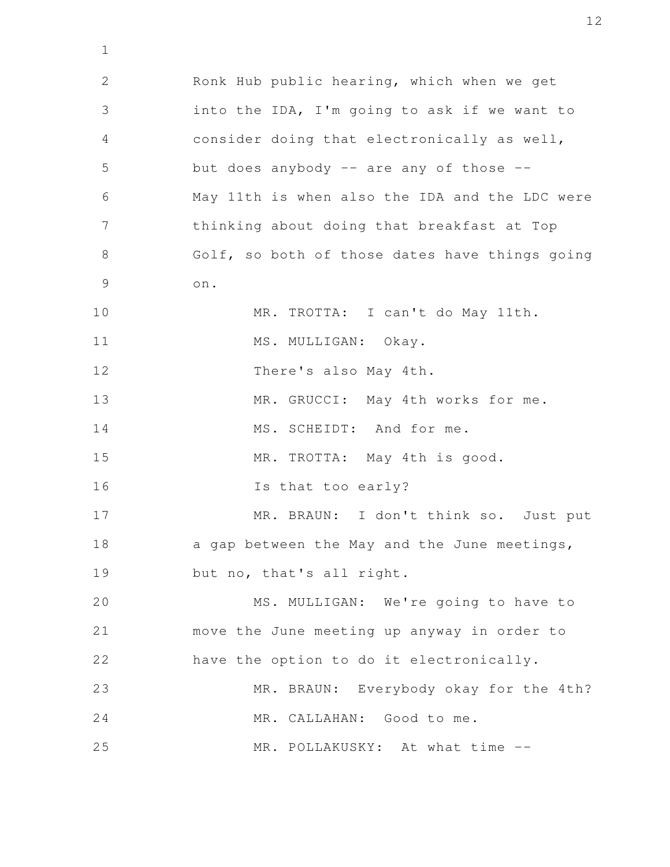Ronk Hub public hearing, which when we get into the IDA, I'm going to ask if we want to consider doing that electronically as well, but does anybody  $--$  are any of those  $--$ May 11th is when also the IDA and the LDC were thinking about doing that breakfast at Top Golf, so both of those dates have things going on. MR. TROTTA: I can't do May 11th. MS. MULLIGAN: Okay. There's also May 4th. MR. GRUCCI: May 4th works for me. MS. SCHEIDT: And for me. MR. TROTTA: May 4th is good. Is that too early? MR. BRAUN: I don't think so. Just put a gap between the May and the June meetings, but no, that's all right. MS. MULLIGAN: We're going to have to move the June meeting up anyway in order to have the option to do it electronically. MR. BRAUN: Everybody okay for the 4th? MR. CALLAHAN: Good to me. MR. POLLAKUSKY: At what time -- 2 3 4 5 6 7 8 9 10 11 12 13 14 15 16 17 18 19 20 21 22 23 24 25

1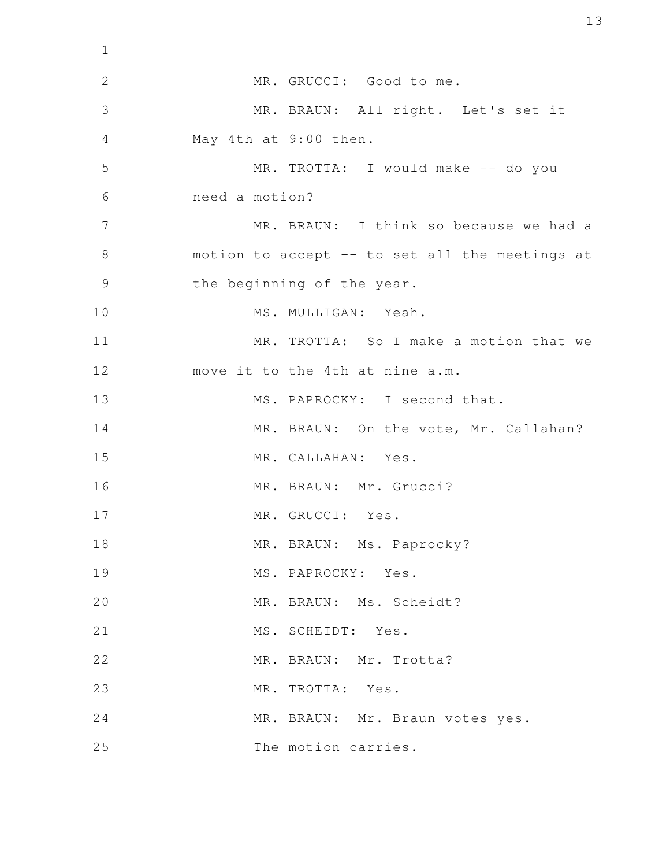| $\mathbf 1$    |                                                |
|----------------|------------------------------------------------|
| $\overline{2}$ | MR. GRUCCI: Good to me.                        |
| 3              | MR. BRAUN: All right. Let's set it             |
| 4              | May 4th at 9:00 then.                          |
| 5              | MR. TROTTA: I would make -- do you             |
| 6              | need a motion?                                 |
| 7              | MR. BRAUN: I think so because we had a         |
| 8              | motion to accept -- to set all the meetings at |
| 9              | the beginning of the year.                     |
| 10             | MS. MULLIGAN: Yeah.                            |
| 11             | MR. TROTTA: So I make a motion that we         |
| 12             | move it to the 4th at nine a.m.                |
| 13             | MS. PAPROCKY: I second that.                   |
| 14             | MR. BRAUN: On the vote, Mr. Callahan?          |
| 15             | MR. CALLAHAN: Yes.                             |
| 16             | MR. BRAUN: Mr. Grucci?                         |
| 17             | MR. GRUCCI: Yes.                               |
| 18             | MR. BRAUN: Ms. Paprocky?                       |
| 19             | MS. PAPROCKY: Yes.                             |
| 20             | MR. BRAUN: Ms. Scheidt?                        |
| 21             | MS. SCHEIDT: Yes.                              |
| 22             | MR. BRAUN: Mr. Trotta?                         |
| 23             | MR. TROTTA: Yes.                               |
| 24             | MR. BRAUN: Mr. Braun votes yes.                |
| 25             | The motion carries.                            |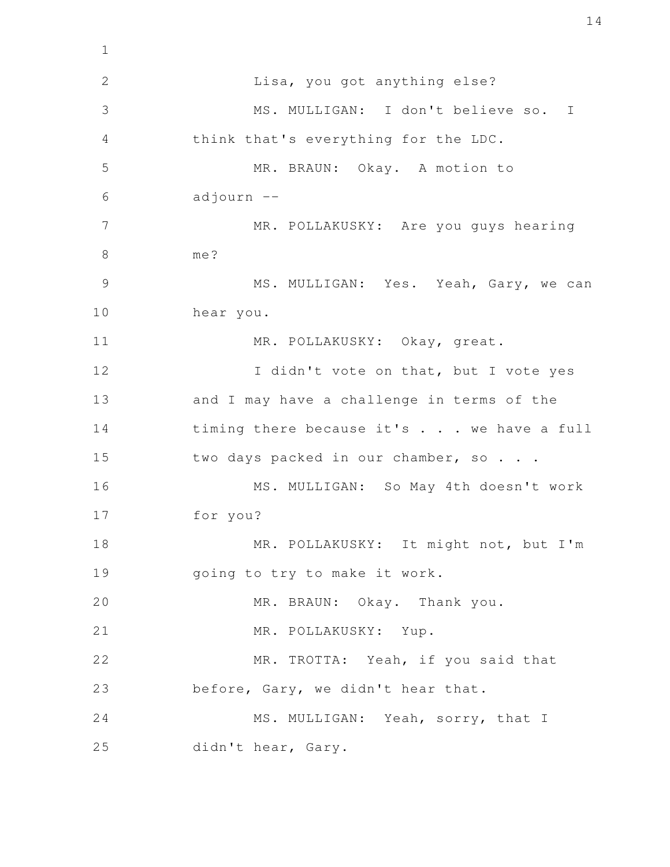Lisa, you got anything else? MS. MULLIGAN: I don't believe so. I think that's everything for the LDC. MR. BRAUN: Okay. A motion to adjourn -- MR. POLLAKUSKY: Are you guys hearing me? MS. MULLIGAN: Yes. Yeah, Gary, we can hear you. MR. POLLAKUSKY: Okay, great. I didn't vote on that, but I vote yes and I may have a challenge in terms of the timing there because it's . . . we have a full two days packed in our chamber, so . . . MS. MULLIGAN: So May 4th doesn't work for you? MR. POLLAKUSKY: It might not, but I'm going to try to make it work. MR. BRAUN: Okay. Thank you. MR. POLLAKUSKY: Yup. MR. TROTTA: Yeah, if you said that before, Gary, we didn't hear that. MS. MULLIGAN: Yeah, sorry, that I didn't hear, Gary. 1 2 3 4 5 6 7 8 9 10 11 12 13 14 15 16 17 18 19 20 21 22 23 24 25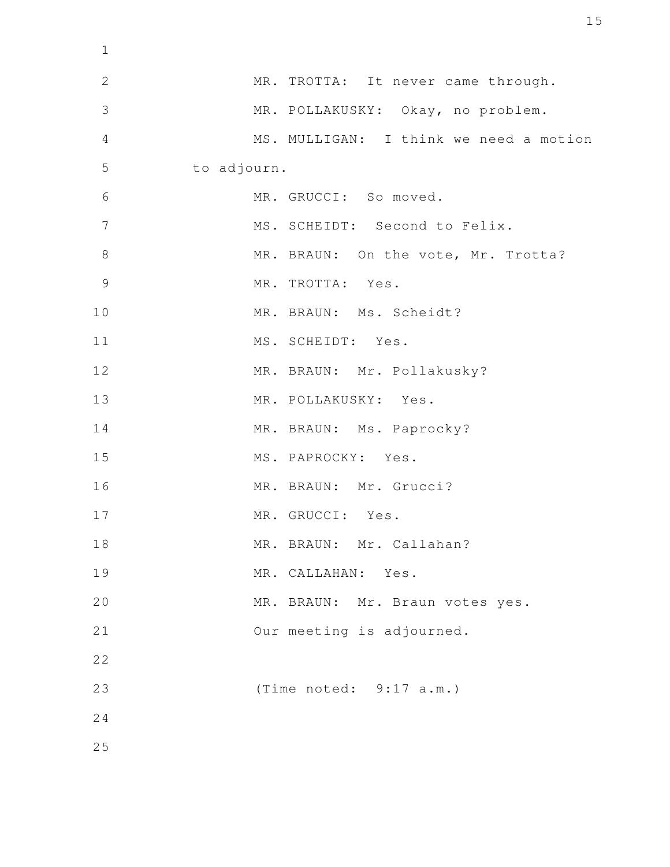| $\mathbf{1}$   |                                        |
|----------------|----------------------------------------|
| $\mathbf{2}$   | MR. TROTTA: It never came through.     |
| 3              | MR. POLLAKUSKY: Okay, no problem.      |
| $\overline{4}$ | MS. MULLIGAN: I think we need a motion |
| 5              | to adjourn.                            |
| 6              | MR. GRUCCI: So moved.                  |
| $\overline{7}$ | MS. SCHEIDT: Second to Felix.          |
| $8\,$          | MR. BRAUN: On the vote, Mr. Trotta?    |
| $\overline{9}$ | MR. TROTTA: Yes.                       |
| 10             | MR. BRAUN: Ms. Scheidt?                |
| 11             | MS. SCHEIDT: Yes.                      |
| 12             | MR. BRAUN: Mr. Pollakusky?             |
| 13             | MR. POLLAKUSKY: Yes.                   |
| 14             | MR. BRAUN: Ms. Paprocky?               |
| 15             | MS. PAPROCKY: Yes.                     |
| 16             | MR. BRAUN: Mr. Grucci?                 |
| 17             | MR. GRUCCI: Yes.                       |
| 18             | MR. BRAUN: Mr. Callahan?               |
| 19             | MR. CALLAHAN: Yes.                     |
| 20             | MR. BRAUN: Mr. Braun votes yes.        |
| 21             | Our meeting is adjourned.              |
| 22             |                                        |
| 23             | (Time noted: 9:17 a.m.)                |
| 24             |                                        |
| 25             |                                        |